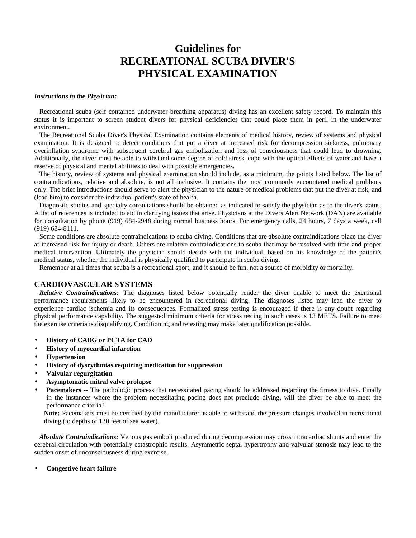# **Guidelines for RECREATIONAL SCUBA DIVER'S PHYSICAL EXAMINATION**

#### *Instructions to the Physician:*

 Recreational scuba (self contained underwater breathing apparatus) diving has an excellent safety record. To maintain this status it is important to screen student divers for physical deficiencies that could place them in peril in the underwater environment.

 The Recreational Scuba Diver's Physical Examination contains elements of medical history, review of systems and physical examination. It is designed to detect conditions that put a diver at increased risk for decompression sickness, pulmonary overinflation syndrome with subsequent cerebral gas embolization and loss of consciousness that could lead to drowning. Additionally, the diver must be able to withstand some degree of cold stress, cope with the optical effects of water and have a reserve of physical and mental abilities to deal with possible emergencies.

 The history, review of systems and physical examination should include, as a minimum, the points listed below. The list of contraindications, relative and absolute, is not all inclusive. It contains the most commonly encountered medical problems only. The brief introductions should serve to alert the physician to the nature of medical problems that put the diver at risk, and (lead him) to consider the individual patient's state of health.

 Diagnostic studies and specialty consultations should be obtained as indicated to satisfy the physician as to the diver's status. A list of references is included to aid in clarifying issues that arise. Physicians at the Divers Alert Network (DAN) are available for consultation by phone (919) 684-2948 during normal business hours. For emergency calls, 24 hours, 7 days a week, call (919) 684-8111.

 Some conditions are absolute contraindications to scuba diving. Conditions that are absolute contraindications place the diver at increased risk for injury or death. Others are relative contraindications to scuba that may be resolved with time and proper medical intervention. Ultimately the physician should decide with the individual, based on his knowledge of the patient's medical status, whether the individual is physically qualified to participate in scuba diving.

Remember at all times that scuba is a recreational sport, and it should be fun, not a source of morbidity or mortality.

#### **CARDIOVASCULAR SYSTEMS**

 *Relative Contraindications:* The diagnoses listed below potentially render the diver unable to meet the exertional performance requirements likely to be encountered in recreational diving. The diagnoses listed may lead the diver to experience cardiac ischemia and its consequences. Formalized stress testing is encouraged if there is any doubt regarding physical performance capability. The suggested minimum criteria for stress testing in such cases is 13 METS. Failure to meet the exercise criteria is disqualifying. Conditioning and retesting may make later qualification possible.

- **History of CABG or PCTA for CAD**
- **History of myocardial infarction**
- **Hypertension**
- **History of dysrythmias requiring medication for suppression**
- **Valvular regurgitation**
- **Asymptomatic mitral valve prolapse**
- **Pacemakers --** The pathologic process that necessitated pacing should be addressed regarding the fitness to dive. Finally in the instances where the problem necessitating pacing does not preclude diving, will the diver be able to meet the performance criteria?

**Note:** Pacemakers must be certified by the manufacturer as able to withstand the pressure changes involved in recreational diving (to depths of 130 feet of sea water).

 *Absolute Contraindications:* Venous gas emboli produced during decompression may cross intracardiac shunts and enter the cerebral circulation with potentially catastrophic results. Asymmetric septal hypertrophy and valvular stenosis may lead to the sudden onset of unconsciousness during exercise.

#### • **Congestive heart failure**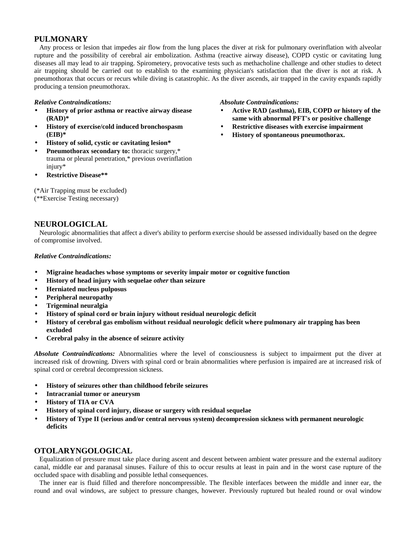## **PULMONARY**

 Any process or lesion that impedes air flow from the lung places the diver at risk for pulmonary overinflation with alveolar rupture and the possibility of cerebral air embolization. Asthma (reactive airway disease), COPD cystic or cavitating lung diseases all may lead to air trapping. Spirometery, provocative tests such as methacholine challenge and other studies to detect air trapping should be carried out to establish to the examining physician's satisfaction that the diver is not at risk. A pneumothorax that occurs or recurs while diving is catastrophic. As the diver ascends, air trapped in the cavity expands rapidly producing a tension pneumothorax.

#### *Relative Contraindications:*

- **History of prior asthma or reactive airway disease (RAD)\***
- **History of exercise/cold induced bronchospasm (EIB)\***
- **History of solid, cystic or cavitating lesion\***
- **Pneumothorax secondary to:** thoracic surgery,\* trauma or pleural penetration,\* previous overinflation injury\*
- **Restrictive Disease\*\***

(\*Air Trapping must be excluded) (\*\*Exercise Testing necessary)

## *Absolute Contraindications:*

- **Active RAD (asthma), EIB, COPD or history of the same with abnormal PFT's or positive challenge**
- **Restrictive diseases with exercise impairment**
- **History of spontaneous pneumothorax.**

## **NEUROLOGICLAL**

 Neurologic abnormalities that affect a diver's ability to perform exercise should be assessed individually based on the degree of compromise involved.

#### *Relative Contraindications:*

- **Migraine headaches whose symptoms or severity impair motor or cognitive function**
- **History of head injury with sequelae** *other* **than seizure**
- **Herniated nucleus pulposus**
- **Peripheral neuropathy**
- **Trigeminal neuralgia**
- **History of spinal cord or brain injury without residual neurologic deficit**
- **History of cerebral gas embolism without residual neurologic deficit where pulmonary air trapping has been excluded**
- **Cerebral palsy in the absence of seizure activity**

*Absolute Contraindications:* Abnormalities where the level of consciousness is subject to impairment put the diver at increased risk of drowning. Divers with spinal cord or brain abnormalities where perfusion is impaired are at increased risk of spinal cord or cerebral decompression sickness.

- **History of seizures other than childhood febrile seizures**
- **Intracranial tumor or aneurysm**
- **History of TIA or CVA**
- **History of spinal cord injury, disease or surgery with residual sequelae**
- **History of Type II (serious and/or central nervous system) decompression sickness with permanent neurologic deficits**

## **OTOLARYNGOLOGICAL**

 Equalization of pressure must take place during ascent and descent between ambient water pressure and the external auditory canal, middle ear and paranasal sinuses. Failure of this to occur results at least in pain and in the worst case rupture of the occluded space with disabling and possible lethal consequences.

 The inner ear is fluid filled and therefore noncompressible. The flexible interfaces between the middle and inner ear, the round and oval windows, are subject to pressure changes, however. Previously ruptured but healed round or oval window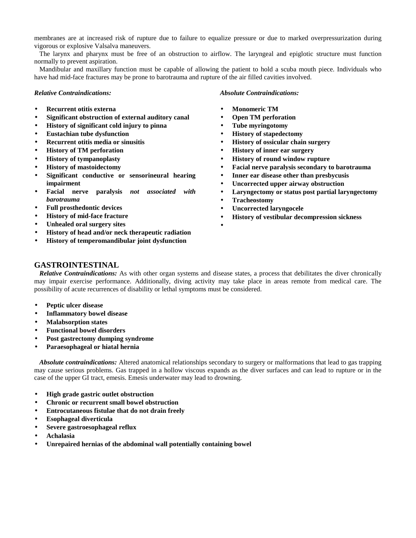membranes are at increased risk of rupture due to failure to equalize pressure or due to marked overpressurization during vigorous or explosive Valsalva maneuvers.

 The larynx and pharynx must be free of an obstruction to airflow. The laryngeal and epiglotic structure must function normally to prevent aspiration.

 Mandibular and maxillary function must be capable of allowing the patient to hold a scuba mouth piece. Individuals who have had mid-face fractures may be prone to barotrauma and rupture of the air filled cavities involved.

#### *Relative Contraindications:*

- **Recurrent otitis externa**
- **Significant obstruction of external auditory canal**
- **History of significant cold injury to pinna**
- **Eustachian tube dysfunction**
- **Recurrent otitis media or sinusitis**
- **History of TM perforation**
- **History of tympanoplasty**
- **History of mastoidectomy**
- **Significant conductive or sensorineural hearing impairment**
- **Facial nerve paralysis** *not associated with barotrauma*
- **Full prosthedontic devices**
- **History of mid-face fracture**
- **Unhealed oral surgery sites**
- **History of head and/or neck therapeutic radiation**
- **History of temperomandibular joint dysfunction**

#### *Absolute Contraindications:*

- **Monomeric TM**
- **Open TM perforation**
- **Tube myringotomy**
- **History of stapedectomy**
- **History of ossicular chain surgery**
- **History of inner ear surgery**
- **History of round window rupture**
- **Facial nerve paralysis secondary to barotrauma**
- **Inner ear disease other than presbycusis**
- **Uncorrected upper airway obstruction**
- **Laryngectomy or status post partial laryngectomy**
- **Tracheostomy**
- **Uncorrected laryngocele**
- **History of vestibular decompression sickness**
- •

## **GASTROINTESTINAL**

 *Relative Contraindications:* As with other organ systems and disease states, a process that debilitates the diver chronically may impair exercise performance. Additionally, diving activity may take place in areas remote from medical care. The possibility of acute recurrences of disability or lethal symptoms must be considered.

- **Peptic ulcer disease**
- **Inflammatory bowel disease**
- **Malabsorption states**
- **Functional bowel disorders**
- **Post gastrectomy dumping syndrome**
- **Paraesophageal or hiatal hernia**

 *Absolute contraindications:* Altered anatomical relationships secondary to surgery or malformations that lead to gas trapping may cause serious problems. Gas trapped in a hollow viscous expands as the diver surfaces and can lead to rupture or in the case of the upper GI tract, emesis. Emesis underwater may lead to drowning.

- **High grade gastric outlet obstruction**
- **Chronic or recurrent small bowel obstruction**
- **Entrocutaneous fistulae that do not drain freely**
- **Esophageal diverticula**
- **Severe gastroesophageal reflux**
- **Achalasia**
- **Unrepaired hernias of the abdominal wall potentially containing bowel**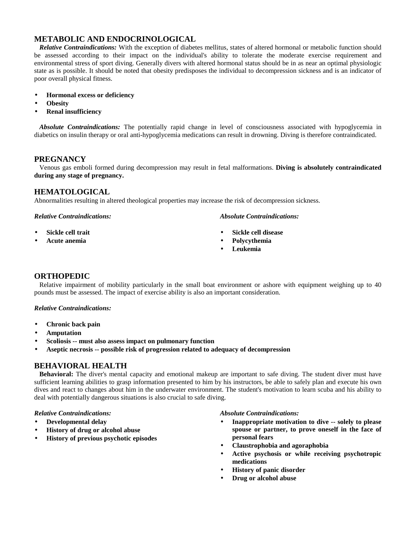## **METABOLIC AND ENDOCRINOLOGICAL**

 *Relative Contraindications:* With the exception of diabetes mellitus, states of altered hormonal or metabolic function should be assessed according to their impact on the individual's ability to tolerate the moderate exercise requirement and environmental stress of sport diving. Generally divers with altered hormonal status should be in as near an optimal physiologic state as is possible. It should be noted that obesity predisposes the individual to decompression sickness and is an indicator of poor overall physical fitness.

- **Hormonal excess or deficiency**
- **Obesity**
- **Renal insufficiency**

 *Absolute Contraindications:* The potentially rapid change in level of consciousness associated with hypoglycemia in diabetics on insulin therapy or oral anti-hypoglycemia medications can result in drowning. Diving is therefore contraindicated.

## **PREGNANCY**

 Venous gas emboli formed during decompression may result in fetal malformations. **Diving is absolutely contraindicated during any stage of pregnancy.** 

## **HEMATOLOGICAL**

Abnormalities resulting in altered theological properties may increase the risk of decompression sickness.

*Relative Contraindications:* 

- **Sickle cell trait**
- **Acute anemia**

*Absolute Contraindications:* 

- **Sickle cell disease**
- **Polycythemia**
- **Leukemia**

## **ORTHOPEDIC**

 Relative impairment of mobility particularly in the small boat environment or ashore with equipment weighing up to 40 pounds must be assessed. The impact of exercise ability is also an important consideration.

#### *Relative Contraindications:*

- **Chronic back pain**
- **Amputation**
- **Scoliosis -- must also assess impact on pulmonary function**
- **Aseptic necrosis -- possible risk of progression related to adequacy of decompression**

## **BEHAVIORAL HEALTH**

 **Behavioral:** The diver's mental capacity and emotional makeup are important to safe diving. The student diver must have sufficient learning abilities to grasp information presented to him by his instructors, be able to safely plan and execute his own dives and react to changes about him in the underwater environment. The student's motivation to learn scuba and his ability to deal with potentially dangerous situations is also crucial to safe diving.

#### *Relative Contraindications:*

- **Developmental delay**
- **History of drug or alcohol abuse**
- **History of previous psychotic episodes**

#### *Absolute Contraindications:*

- **Inappropriate motivation to dive -- solely to please spouse or partner, to prove oneself in the face of personal fears**
- **Claustrophobia and agoraphobia**
- **Active psychosis or while receiving psychotropic medications**
- **History of panic disorder**
- **Drug or alcohol abuse**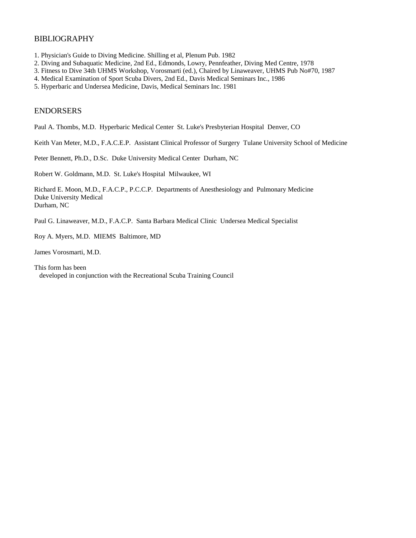## BIBLIOGRAPHY

- 1. Physician's Guide to Diving Medicine. Shilling et al, Plenum Pub. 1982
- 2. Diving and Subaquatic Medicine, 2nd Ed., Edmonds, Lowry, Pennfeather, Diving Med Centre, 1978
- 3. Fitness to Dive 34th UHMS Workshop, Vorosmarti (ed.), Chaired by Linaweaver, UHMS Pub No#70, 1987
- 4. Medical Examination of Sport Scuba Divers, 2nd Ed., Davis Medical Seminars Inc., 1986
- 5. Hyperbaric and Undersea Medicine, Davis, Medical Seminars Inc. 1981

### ENDORSERS

Paul A. Thombs, M.D. Hyperbaric Medical Center St. Luke's Presbyterian Hospital Denver, CO

Keith Van Meter, M.D., F.A.C.E.P. Assistant Clinical Professor of Surgery Tulane University School of Medicine

Peter Bennett, Ph.D., D.Sc. Duke University Medical Center Durham, NC

Robert W. Goldmann, M.D. St. Luke's Hospital Milwaukee, WI

Richard E. Moon, M.D., F.A.C.P., P.C.C.P. Departments of Anesthesiology and Pulmonary Medicine Duke University Medical Durham, NC

Paul G. Linaweaver, M.D., F.A.C.P. Santa Barbara Medical Clinic Undersea Medical Specialist

Roy A. Myers, M.D. MIEMS Baltimore, MD

James Vorosmarti, M.D.

This form has been developed in conjunction with the Recreational Scuba Training Council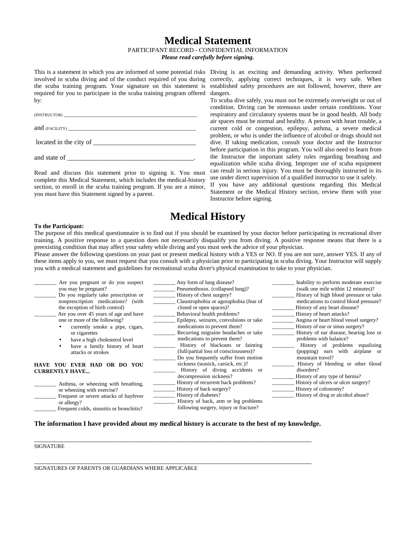## **Medical Statement**

#### PARTICIPANT RECORD - CONFIDENTIAL INFORMATION

*Please read carefully before signing.* 

This is a statement in which you are informed of some potential risks Diving is an exciting and demanding activity. When performed required for you to participate in the scuba training program offered by:

(INSTRUCTOR) \_\_\_\_\_\_\_\_\_\_\_\_\_\_\_\_\_\_\_\_\_\_\_\_\_\_\_\_\_\_\_\_\_\_\_\_\_\_\_\_\_\_\_\_\_\_\_\_ and (FACILITY) located in the city of \_\_\_\_\_\_\_\_\_\_\_\_\_\_\_\_\_\_\_\_\_\_\_\_\_\_\_\_\_\_ and state of

Read and discuss this statement prior to signing it. You must complete this Medical Statement, which includes the medical-history section, to enroll in the scuba training program. If you are a minor, you must have this Statement signed by a parent.

involved in scuba diving and of the conduct required of you during correctly, applying correct techniques, it is very safe. When the scuba training program. Your signature on this statement is established safety procedures are not followed, however, there are dangers.

> To scuba dive safely, you must not be extremely overweight or out of condition. Diving can be strenuous under certain conditions. Your respiratory and circulatory systems must be in good health. All body air spaces must be normal and healthy. A person with heart trouble, a current cold or congestion, epilepsy, asthma, a severe medical problem, or who is under the influence of alcohol or drugs should not dive. If taking medication, consult your doctor and the Instructor before participation in this program. You will also need to learn from the Instructor the important safety rules regarding breathing and equalization while scuba diving. Improper use of scuba equipment can result in serious injury. You must be thoroughly instructed in its use under direct supervision of a qualified instructor to use it safely.

> If you have any additional questions regarding this Medical Statement or the Medical History section, review them with your Instructor before signing.

# **Medical History**

#### **To the Participant:**

The purpose of this medical questionnaire is to find out if you should be examined by your doctor before participating in recreational diver training. A positive response to a question does not necessarily disqualify you from diving. A positive response means that there is a preexisting condition that may affect your safety while diving and you must seek the advice of your physician.

Please answer the following questions on your past or present medical history with a YES or NO. If you are not sure, answer YES. If any of these items apply to you, we must request that you consult with a physician prior to participating in scuba diving. Your Instructor will supply you with a medical statement and guidelines for recreational scuba diver's physical examination to take to your physician.

| Are you pregnant or do you suspect       | Any form of lung disease?               | Inability to perform moderate exercise  |
|------------------------------------------|-----------------------------------------|-----------------------------------------|
| you may be pregnant?                     | Pneumothorax. (collapsed lung)?         | (walk one mile within 12 minutes)?      |
| Do you regularly take prescription or    | History of chest surgery?               | History of high blood pressure or take  |
| nonprescription medications? (with       | Claustrophobia or agoraphobia (fear of  | medications to control blood pressure?  |
| the exception of birth control)          | closed or open spaces)?                 | History of any heart disease?           |
| Are you over 45 years of age and have    | Behavioral health problems?             | History of heart attacks?               |
| one or more of the following?            | Epilepsy, seizures, convulsions or take | Angina or heart blood vessel surgery?   |
| currently smoke a pipe, cigars,          | medications to prevent them?            | History of ear or sinus surgery?        |
| or cigarettes                            | Recurring migraine headaches or take    | History of ear disease, hearing loss or |
| have a high cholesterol level            | medications to prevent them?            | problems with balance?                  |
| have a family history of heart           | History of blackouts or fainting        | History of problems<br>equalizing       |
| attacks or strokes                       | (full/partial loss of consciousness)?   | (popping) ears with airplane or         |
|                                          | Do you frequently suffer from motion    | mountain travel?                        |
| HAVE YOU EVER HAD OR DO YOU              | sickness (seasick, carsick, etc.)?      | History of bleeding or other 6lood      |
| <b>CURRENTLY HAVE</b>                    | History of diving accidents or          | disorders?                              |
|                                          | decompression sickness?                 | History of any type of hernia?          |
| Asthma, or wheezing with breathing,      | History of recurrent back problems?     | History of ulcers or ulcer surgery?     |
| or wheezing with exercise?               | History of back surgery?                | History of colostomy?                   |
| Frequent or severe attacks of hayfever   | History of diabetes?                    | History of drug or alcohol abuse?       |
| or allergy?                              | History of back, arm or leg problems    |                                         |
| Frequent colds, sinusitis or bronchitis? | following surgery, injury or fracture?  |                                         |

#### **The information I have provided about my medical history is accurate to the best of my knowledge.**

\_\_\_\_\_\_\_\_\_\_\_\_\_\_\_\_\_\_\_\_\_\_\_\_\_\_\_\_\_\_\_\_\_\_\_\_\_\_\_\_\_\_\_\_\_\_\_\_\_\_\_\_\_\_\_\_\_\_\_\_\_\_\_\_\_\_\_\_\_\_\_\_\_\_\_\_\_\_\_\_\_

#### \_\_\_\_\_\_\_\_\_\_\_\_\_\_\_\_\_\_\_\_\_\_\_\_\_\_\_\_\_\_\_\_\_\_\_\_\_\_\_\_\_\_\_\_\_\_\_\_\_\_\_\_\_\_\_\_\_\_\_\_\_\_\_\_\_\_\_\_\_\_\_\_\_\_\_\_\_\_\_\_\_ **SIGNATURE**

SIGNATURES OF PARENTS OR GUARDIANS WHERE APPLICABLE